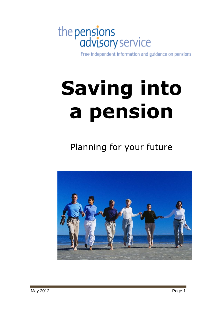# the pensions<br>advisory service

Free independent information and guidance on pensions

## **Saving into a pension**

Planning for your future

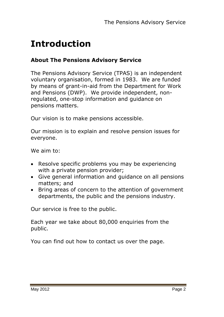## **Introduction**

#### **About The Pensions Advisory Service**

The Pensions Advisory Service (TPAS) is an independent voluntary organisation, formed in 1983. We are funded by means of grant-in-aid from the Department for Work and Pensions (DWP). We provide independent, nonregulated, one-stop information and guidance on pensions matters.

Our vision is to make pensions accessible.

Our mission is to explain and resolve pension issues for everyone.

We aim to:

- Resolve specific problems you may be experiencing with a private pension provider;
- Give general information and guidance on all pensions matters; and
- Bring areas of concern to the attention of government departments, the public and the pensions industry.

Our service is free to the public.

Each year we take about 80,000 enquiries from the public.

You can find out how to contact us over the page.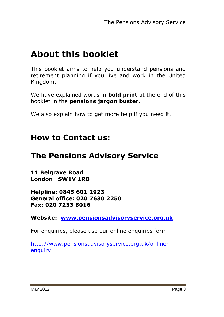## **About this booklet**

This booklet aims to help you understand pensions and retirement planning if you live and work in the United Kingdom.

We have explained words in **bold print** at the end of this booklet in the **pensions jargon buster**.

We also explain how to get more help if you need it.

#### **How to Contact us:**

## **The Pensions Advisory Service**

**11 Belgrave Road London SW1V 1RB**

**Helpline: 0845 601 2923 General office: 020 7630 2250 Fax: 020 7233 8016**

**Website: [www.pensionsadvisoryservice.org.uk](http://www.pensionsadvisoryservice.org.uk/)**

For enquiries, please use our online enquiries form:

[http://www.pensionsadvisoryservice.org.uk/online](http://www.pensionsadvisoryservice.org.uk/online-enquiry)**enquiry**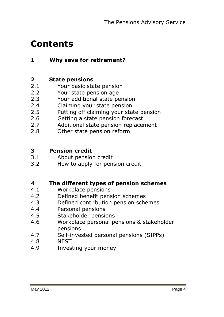## **Contents**

#### **1 Why save for retirement?**

#### **2 State pensions**

- 2.1 Your basic state pension
- 2.2 Your state pension age
- 2.3 Your additional state pension
- 2.4 Claiming your state pension
- 2.5 Putting off claiming your state pension
- 2.6 Getting a state pension forecast
- 2.7 Additional state pension replacement
- 2.8 Other state pension reform

#### **3 Pension credit**

- 3.1 About pension credit
- 3.2 How to apply for pension credit

#### **4 The different types of pension schemes**

- 4.1 Workplace pensions
- 4.2 Defined benefit pension schemes
- 4.3 Defined contribution pension schemes
- 4.4 Personal pensions
- 4.5 Stakeholder pensions
- 4.6 Workplace personal pensions & stakeholder pensions
- 4.7 Self-invested personal pensions (SIPPs)
- 4.8 NEST
- 4.9 Investing your money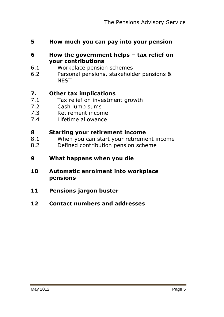- **5 How much you can pay into your pension**
- **6 How the government helps – tax relief on your contributions**
- 6.1 Workplace pension schemes
- 6.2 Personal pensions, stakeholder pensions & **NEST**

#### **7. Other tax implications**

- 7.1 Tax relief on investment growth
- 7.2 Cash lump sums
- 7.3 Retirement income
- 7.4 Lifetime allowance

#### **8 Starting your retirement income**

- 8.1 When you can start your retirement income
- 8.2 Defined contribution pension scheme
- **9 What happens when you die**
- **10 Automatic enrolment into workplace pensions**
- **11 Pensions jargon buster**
- **12 Contact numbers and addresses**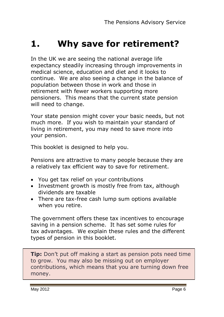## **1. Why save for retirement?**

In the UK we are seeing the national average life expectancy steadily increasing through improvements in medical science, education and diet and it looks to continue. We are also seeing a change in the balance of population between those in work and those in retirement with fewer workers supporting more pensioners. This means that the current state pension will need to change.

Your state pension might cover your basic needs, but not much more. If you wish to maintain your standard of living in retirement, you may need to save more into your pension.

This booklet is designed to help you.

Pensions are attractive to many people because they are a relatively tax efficient way to save for retirement.

- You get tax relief on your contributions
- Investment growth is mostly free from tax, although dividends are taxable
- There are tax-free cash lump sum options available when you retire.

The government offers these tax incentives to encourage saving in a pension scheme. It has set some rules for tax advantages. We explain these rules and the different types of pension in this booklet.

**Tip:** Don't put off making a start as pension pots need time to grow. You may also be missing out on employer contributions, which means that you are turning down free money.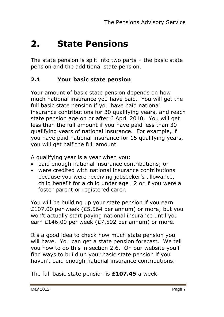## **2. State Pensions**

The state pension is split into two parts – the basic state pension and the additional state pension.

#### **2.1 Your basic state pension**

Your amount of basic state pension depends on how much national insurance you have paid. You will get the full basic state pension if you have paid national insurance contributions for 30 qualifying years, and reach state pension age on or after 6 April 2010. You will get less than the full amount if you have paid less than 30 qualifying years of national insurance. For example, if you have paid national insurance for 15 qualifying years, you will get half the full amount.

A qualifying year is a year when you:

- paid enough national insurance contributions; or
- were credited with national insurance contributions because you were receiving jobseeker"s allowance, child benefit for a child under age 12 or if you were a foster parent or registered carer.

You will be building up your state pension if you earn £107.00 per week (£5,564 per annum) or more; but you won"t actually start paying national insurance until you earn £146.00 per week (£7,592 per annum) or more.

It's a good idea to check how much state pension you will have. You can get a state pension forecast. We tell you how to do this in section 2.6. On our website you"ll find ways to build up your basic state pension if you haven"t paid enough national insurance contributions.

The full basic state pension is **£107.45** a week.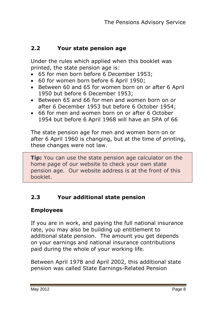#### **2.2 Your state pension age**

Under the rules which applied when this booklet was printed, the state pension age is:

- 65 for men born before 6 December 1953;
- 60 for women born before 6 April 1950;
- Between 60 and 65 for women born on or after 6 April 1950 but before 6 December 1953;
- Between 65 and 66 for men and women born on or after 6 December 1953 but before 6 October 1954;
- 66 for men and women born on or after 6 October 1954 but before 6 April 1968 will have an SPA of 66

The state pension age for men and women born on or after 6 April 1960 is changing, but at the time of printing, these changes were not law.

**Tip:** You can use the state pension age calculator on the home page of our website to check your own state pension age. Our website address is at the front of this booklet.

#### **2.3 Your additional state pension**

#### **Employees**

If you are in work, and paying the full national insurance rate, you may also be building up entitlement to additional state pension. The amount you get depends on your earnings and national insurance contributions paid during the whole of your working life.

Between April 1978 and April 2002, this additional state pension was called State Earnings-Related Pension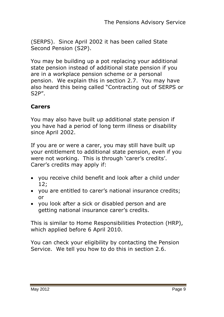(SERPS). Since April 2002 it has been called State Second Pension (S2P).

You may be building up a pot replacing your additional state pension instead of additional state pension if you are in a workplace pension scheme or a personal pension. We explain this in section 2.7. You may have also heard this being called "Contracting out of SERPS or S2P".

#### **Carers**

You may also have built up additional state pension if you have had a period of long term illness or disability since April 2002.

If you are or were a carer, you may still have built up your entitlement to additional state pension, even if you were not working. This is through 'carer's credits'. Carer"s credits may apply if:

- you receive child benefit and look after a child under 12;
- you are entitled to carer"s national insurance credits; or
- you look after a sick or disabled person and are getting national insurance carer"s credits.

This is similar to Home Responsibilities Protection (HRP), which applied before 6 April 2010.

You can check your eligibility by contacting the Pension Service. We tell you how to do this in section 2.6.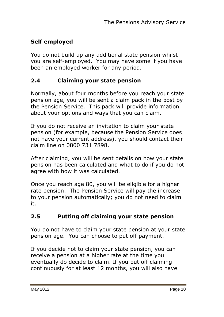#### **Self employed**

You do not build up any additional state pension whilst you are self-employed. You may have some if you have been an employed worker for any period.

#### **2.4 Claiming your state pension**

Normally, about four months before you reach your state pension age, you will be sent a claim pack in the post by the Pension Service. This pack will provide information about your options and ways that you can claim.

If you do not receive an invitation to claim your state pension (for example, because the Pension Service does not have your current address), you should contact their claim line on 0800 731 7898.

After claiming, you will be sent details on how your state pension has been calculated and what to do if you do not agree with how it was calculated.

Once you reach age 80, you will be eligible for a higher rate pension. The Pension Service will pay the increase to your pension automatically; you do not need to claim it.

#### **2.5 Putting off claiming your state pension**

You do not have to claim your state pension at your state pension age. You can choose to put off payment.

If you decide not to claim your state pension, you can receive a pension at a higher rate at the time you eventually do decide to claim. If you put off claiming continuously for at least 12 months, you will also have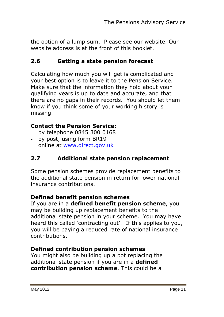the option of a lump sum. Please see our website. Our website address is at the front of this booklet.

#### **2.6 Getting a state pension forecast**

Calculating how much you will get is complicated and your best option is to leave it to the Pension Service. Make sure that the information they hold about your qualifying years is up to date and accurate, and that there are no gaps in their records. You should let them know if you think some of your working history is missing.

#### **Contact the Pension Service:**

- by telephone 0845 300 0168
- by post, using form BR19
- online at [www.direct.gov.uk](http://www.direct.gov.uk/)

#### **2.7 Additional state pension replacement**

Some pension schemes provide replacement benefits to the additional state pension in return for lower national insurance contributions.

#### **Defined benefit pension schemes**

If you are in a **defined benefit pension scheme**, you may be building up replacement benefits to the additional state pension in your scheme. You may have heard this called 'contracting out'. If this applies to you, you will be paying a reduced rate of national insurance contributions.

#### **Defined contribution pension schemes**

You might also be building up a pot replacing the additional state pension if you are in a **defined contribution pension scheme**. This could be a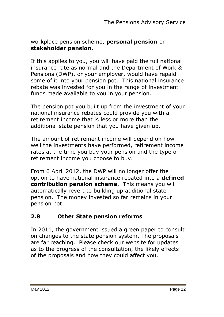#### workplace pension scheme, **personal pension** or **stakeholder pension**.

If this applies to you, you will have paid the full national insurance rate as normal and the Department of Work & Pensions (DWP), or your employer, would have repaid some of it into your pension pot. This national insurance rebate was invested for you in the range of investment funds made available to you in your pension.

The pension pot you built up from the investment of your national insurance rebates could provide you with a retirement income that is less or more than the additional state pension that you have given up.

The amount of retirement income will depend on how well the investments have performed, retirement income rates at the time you buy your pension and the type of retirement income you choose to buy.

From 6 April 2012, the DWP will no longer offer the option to have national insurance rebated into a **defined contribution pension scheme**. This means you will automatically revert to building up additional state pension. The money invested so far remains in your pension pot.

#### **2.8 Other State pension reforms**

In 2011, the government issued a green paper to consult on changes to the state pension system. The proposals are far reaching. Please check our website for updates as to the progress of the consultation, the likely effects of the proposals and how they could affect you.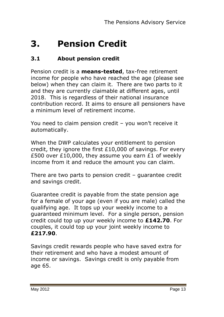## **3. Pension Credit**

#### **3.1 About pension credit**

Pension credit is a **means-tested**, tax-free retirement income for people who have reached the age (please see below) when they can claim it. There are two parts to it and they are currently claimable at different ages, until 2018. This is regardless of their national insurance contribution record. It aims to ensure all pensioners have a minimum level of retirement income.

You need to claim pension credit - you won't receive it automatically.

When the DWP calculates your entitlement to pension credit, they ignore the first £10,000 of savings. For every £500 over £10,000, they assume you earn £1 of weekly income from it and reduce the amount you can claim.

There are two parts to pension credit – guarantee credit and savings credit.

Guarantee credit is payable from the state pension age for a female of your age (even if you are male) called the qualifying age. It tops up your weekly income to a guaranteed minimum level. For a single person, pension credit could top up your weekly income to **£142.70**. For couples, it could top up your joint weekly income to **£217.90**.

Savings credit rewards people who have saved extra for their retirement and who have a modest amount of income or savings. Savings credit is only payable from age 65.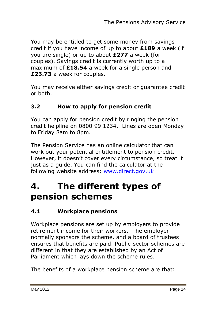You may be entitled to get some money from savings credit if you have income of up to about **£189** a week (if you are single) or up to about **£277** a week (for couples). Savings credit is currently worth up to a maximum of **£18.54** a week for a single person and **£23.73** a week for couples.

You may receive either savings credit or guarantee credit or both.

#### **3.2 How to apply for pension credit**

You can apply for pension credit by ringing the pension credit helpline on 0800 99 1234. Lines are open Monday to Friday 8am to 8pm.

The Pension Service has an online calculator that can work out your potential entitlement to pension credit. However, it doesn"t cover every circumstance, so treat it just as a guide. You can find the calculator at the following website address: [www.direct.gov.uk](http://www.direct.gov.uk/)

## **4. The different types of pension schemes**

#### **4.1 Workplace pensions**

Workplace pensions are set up by employers to provide retirement income for their workers. The employer normally sponsors the scheme, and a board of trustees ensures that benefits are paid. Public-sector schemes are different in that they are established by an Act of Parliament which lays down the scheme rules.

The benefits of a workplace pension scheme are that: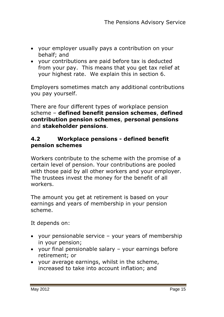- your employer usually pays a contribution on your behalf; and
- your contributions are paid before tax is deducted from your pay. This means that you get tax relief at your highest rate. We explain this in section 6.

Employers sometimes match any additional contributions you pay yourself.

There are four different types of workplace pension scheme – **defined benefit pension schemes**, **defined contribution pension schemes**, **personal pensions** and **stakeholder pensions**.

#### **4.2 Workplace pensions - defined benefit pension schemes**

Workers contribute to the scheme with the promise of a certain level of pension. Your contributions are pooled with those paid by all other workers and your employer. The trustees invest the money for the benefit of all workers.

The amount you get at retirement is based on your earnings and years of membership in your pension scheme.

It depends on:

- your pensionable service your years of membership in your pension;
- your final pensionable salary your earnings before retirement; or
- your average earnings, whilst in the scheme, increased to take into account inflation; and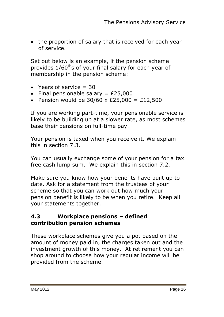• the proportion of salary that is received for each year of service.

Set out below is an example, if the pension scheme provides  $1/60^{th}$ s of your final salary for each year of membership in the pension scheme:

- Years of service  $= 30$
- Final pensionable salary =  $£25,000$
- Pension would be  $30/60 \times £25,000 = £12,500$

If you are working part-time, your pensionable service is likely to be building up at a slower rate, as most schemes base their pensions on full-time pay.

Your pension is taxed when you receive it. We explain this in section 7.3.

You can usually exchange some of your pension for a tax free cash lump sum. We explain this in section 7.2.

Make sure you know how your benefits have built up to date. Ask for a statement from the trustees of your scheme so that you can work out how much your pension benefit is likely to be when you retire. Keep all your statements together.

#### **4.3 Workplace pensions – defined contribution pension schemes**

These workplace schemes give you a pot based on the amount of money paid in, the charges taken out and the investment growth of this money. At retirement you can shop around to choose how your regular income will be provided from the scheme.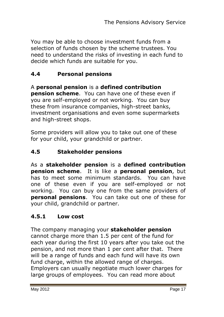You may be able to choose investment funds from a selection of funds chosen by the scheme trustees. You need to understand the risks of investing in each fund to decide which funds are suitable for you.

#### **4.4 Personal pensions**

A **personal pension** is a **defined contribution pension scheme**. You can have one of these even if you are self-employed or not working. You can buy these from insurance companies, high-street banks, investment organisations and even some supermarkets and high-street shops.

Some providers will allow you to take out one of these for your child, your grandchild or partner.

#### **4.5 Stakeholder pensions**

As a **stakeholder pension** is a **defined contribution pension scheme**. It is like a **personal pension**, but has to meet some minimum standards. You can have one of these even if you are self-employed or not working. You can buy one from the same providers of **personal pensions**. You can take out one of these for your child, grandchild or partner.

#### **4.5.1 Low cost**

The company managing your **stakeholder pension** cannot charge more than 1.5 per cent of the fund for each year during the first 10 years after you take out the pension, and not more than 1 per cent after that. There will be a range of funds and each fund will have its own fund charge, within the allowed range of charges. Employers can usually negotiate much lower charges for large groups of employees. You can read more about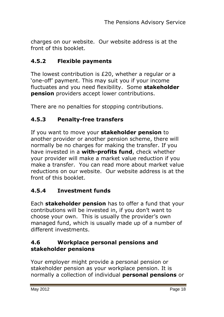charges on our website. Our website address is at the front of this booklet.

#### **4.5.2 Flexible payments**

The lowest contribution is £20, whether a regular or a "one-off" payment. This may suit you if your income fluctuates and you need flexibility. Some **stakeholder pension** providers accept lower contributions.

There are no penalties for stopping contributions.

#### **4.5.3 Penalty-free transfers**

If you want to move your **stakeholder pension** to another provider or another pension scheme, there will normally be no charges for making the transfer. If you have invested in a **with-profits fund**, check whether your provider will make a market value reduction if you make a transfer. You can read more about market value reductions on our website. Our website address is at the front of this booklet.

#### **4.5.4 Investment funds**

Each **stakeholder pension** has to offer a fund that your contributions will be invested in, if you don"t want to choose your own. This is usually the provider"s own managed fund, which is usually made up of a number of different investments.

#### **4.6 Workplace personal pensions and stakeholder pensions**

Your employer might provide a personal pension or stakeholder pension as your workplace pension. It is normally a collection of individual **personal pensions** or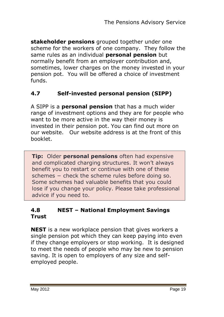**stakeholder pensions** grouped together under one scheme for the workers of one company. They follow the same rules as an individual **personal pension** but normally benefit from an employer contribution and, sometimes, lower charges on the money invested in your pension pot. You will be offered a choice of investment funds.

#### **4.7 Self-invested personal pension (SIPP)**

A SIPP is a **personal pension** that has a much wider range of investment options and they are for people who want to be more active in the way their money is invested in their pension pot. You can find out more on our website. Our website address is at the front of this booklet.

**Tip:** Older **personal pensions** often had expensive and complicated charging structures. It won't always benefit you to restart or continue with one of these schemes – check the scheme rules before doing so. Some schemes had valuable benefits that you could lose if you change your policy. Please take professional advice if you need to.

#### **4.8 NEST – National Employment Savings Trust**

**NEST** is a new workplace pension that gives workers a single pension pot which they can keep paying into even if they change employers or stop working. It is designed to meet the needs of people who may be new to pension saving. It is open to employers of any size and selfemployed people.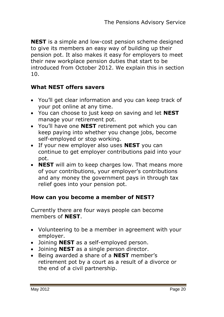**NEST** is a simple and low-cost pension scheme designed to give its members an easy way of building up their pension pot. It also makes it easy for employers to meet their new workplace pension duties that start to be introduced from October 2012. We explain this in section 10.

#### **What NEST offers savers**

- You"ll get clear information and you can keep track of your pot online at any time.
- You can choose to just keep on saving and let **NEST** manage your retirement pot.
- You"ll have one **NEST** retirement pot which you can keep paying into whether you change jobs, become self-employed or stop working.
- If your new employer also uses **NEST** you can continue to get employer contributions paid into your pot.
- **NEST** will aim to keep charges low. That means more of your contributions, your employer"s contributions and any money the government pays in through tax relief goes into your pension pot.

#### **How can you become a member of NEST?**

Currently there are four ways people can become members of **NEST**.

- Volunteering to be a member in agreement with your employer.
- Joining **NEST** as a self-employed person.
- Joining **NEST** as a single person director.
- Being awarded a share of a **NEST** member"s retirement pot by a court as a result of a divorce or the end of a civil partnership.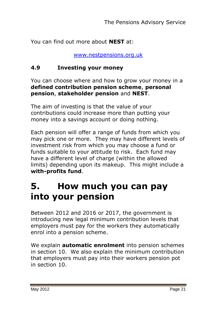You can find out more about **NEST** at:

[www.nestpensions.org.uk](http://www.nestpensions.org.uk/)

#### **4.9 Investing your money**

You can choose where and how to grow your money in a **defined contribution pension scheme**, **personal pension**, **stakeholder pension** and **NEST**.

The aim of investing is that the value of your contributions could increase more than putting your money into a savings account or doing nothing.

Each pension will offer a range of funds from which you may pick one or more. They may have different levels of investment risk from which you may choose a fund or funds suitable to your attitude to risk. Each fund may have a different level of charge (within the allowed limits) depending upon its makeup. This might include a **with-profits fund**.

## **5. How much you can pay into your pension**

Between 2012 and 2016 or 2017, the government is introducing new legal minimum contribution levels that employers must pay for the workers they automatically enrol into a pension scheme.

We explain **automatic enrolment** into pension schemes in section 10. We also explain the minimum contribution that employers must pay into their workers pension pot in section 10.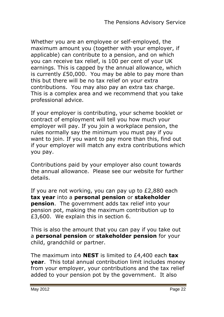Whether you are an employee or self-employed, the maximum amount you (together with your employer, if applicable) can contribute to a pension, and on which you can receive tax relief, is 100 per cent of your UK earnings. This is capped by the annual allowance, which is currently £50,000. You may be able to pay more than this but there will be no tax relief on your extra contributions. You may also pay an extra tax charge. This is a complex area and we recommend that you take professional advice.

If your employer is contributing, your scheme booklet or contract of employment will tell you how much your employer will pay. If you join a workplace pension, the rules normally say the minimum you must pay if you want to join. If you want to pay more than this, find out if your employer will match any extra contributions which you pay.

Contributions paid by your employer also count towards the annual allowance. Please see our website for further details.

If you are not working, you can pay up to £2,880 each **tax year** into a **personal pension** or **stakeholder pension**. The government adds tax relief into your pension pot, making the maximum contribution up to £3,600. We explain this in section 6.

This is also the amount that you can pay if you take out a **personal pension** or **stakeholder pension** for your child, grandchild or partner.

The maximum into **NEST** is limited to £4,400 each **tax year**. This total annual contribution limit includes money from your employer, your contributions and the tax relief added to your pension pot by the government. It also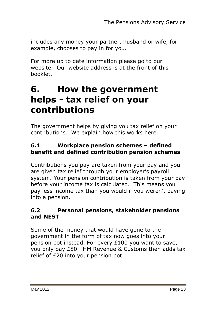includes any money your partner, husband or wife, for example, chooses to pay in for you.

For more up to date information please go to our website. Our website address is at the front of this booklet.

## **6. How the government helps - tax relief on your contributions**

The government helps by giving you tax relief on your contributions. We explain how this works here.

#### **6.1 Workplace pension schemes – defined benefit and defined contribution pension schemes**

Contributions you pay are taken from your pay and you are given tax relief through your employer's payroll system. Your pension contribution is taken from your pay before your income tax is calculated. This means you pay less income tax than you would if you weren"t paying into a pension.

#### **6.2 Personal pensions, stakeholder pensions and NEST**

Some of the money that would have gone to the government in the form of tax now goes into your pension pot instead. For every £100 you want to save, you only pay £80. HM Revenue & Customs then adds tax relief of £20 into your pension pot.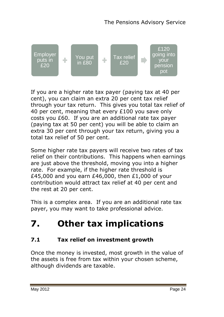

If you are a higher rate tax payer (paying tax at 40 per cent), you can claim an extra 20 per cent tax relief through your tax return. This gives you total tax relief of 40 per cent, meaning that every £100 you save only costs you £60. If you are an additional rate tax payer (paying tax at 50 per cent) you will be able to claim an extra 30 per cent through your tax return, giving you a total tax relief of 50 per cent.

Some higher rate tax payers will receive two rates of tax relief on their contributions. This happens when earnings are just above the threshold, moving you into a higher rate. For example, if the higher rate threshold is £45,000 and you earn £46,000, then £1,000 of your contribution would attract tax relief at 40 per cent and the rest at 20 per cent.

This is a complex area. If you are an additional rate tax payer, you may want to take professional advice.

## **7. Other tax implications**

#### **7.1 Tax relief on investment growth**

Once the money is invested, most growth in the value of the assets is free from tax within your chosen scheme, although dividends are taxable.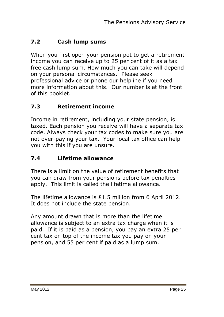#### **7.2 Cash lump sums**

When you first open your pension pot to get a retirement income you can receive up to 25 per cent of it as a tax free cash lump sum. How much you can take will depend on your personal circumstances. Please seek professional advice or phone our helpline if you need more information about this. Our number is at the front of this booklet.

#### **7.3 Retirement income**

Income in retirement, including your state pension, is taxed. Each pension you receive will have a separate tax code. Always check your tax codes to make sure you are not over-paying your tax. Your local tax office can help you with this if you are unsure.

#### **7.4 Lifetime allowance**

There is a limit on the value of retirement benefits that you can draw from your pensions before tax penalties apply. This limit is called the lifetime allowance.

The lifetime allowance is £1.5 million from 6 April 2012. It does not include the state pension.

Any amount drawn that is more than the lifetime allowance is subject to an extra tax charge when it is paid. If it is paid as a pension, you pay an extra 25 per cent tax on top of the income tax you pay on your pension, and 55 per cent if paid as a lump sum.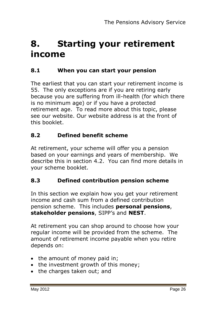## **8. Starting your retirement income**

#### **8.1 When you can start your pension**

The earliest that you can start your retirement income is 55. The only exceptions are if you are retiring early because you are suffering from ill-health (for which there is no minimum age) or if you have a protected retirement age. To read more about this topic, please see our website. Our website address is at the front of this booklet.

#### **8.2 Defined benefit scheme**

At retirement, your scheme will offer you a pension based on your earnings and years of membership. We describe this in section 4.2. You can find more details in your scheme booklet.

#### **8.3 Defined contribution pension scheme**

In this section we explain how you get your retirement income and cash sum from a defined contribution pension scheme. This includes **personal pensions**, **stakeholder pensions**, SIPP"s and **NEST**.

At retirement you can shop around to choose how your regular income will be provided from the scheme. The amount of retirement income payable when you retire depends on:

- the amount of money paid in;
- the investment growth of this money:
- the charges taken out; and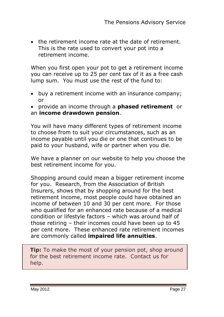the retirement income rate at the date of retirement. This is the rate used to convert your pot into a retirement income.

When you first open your pot to get a retirement income you can receive up to 25 per cent tax of it as a free cash lump sum. You must use the rest of the fund to:

 buy a retirement income with an insurance company; or

 provide an income through a **phased retirement** or an **income drawdown pension**.

You will have many different types of retirement income to choose from to suit your circumstances, such as an income payable until you die or one that continues to be paid to your husband, wife or partner when you die.

We have a planner on our website to help you choose the best retirement income for you.

Shopping around could mean a bigger retirement income for you. Research, from the Association of British Insurers, shows that by shopping around for the best retirement income, most people could have obtained an income of between 10 and 30 per cent more. For those who qualified for an enhanced rate because of a medical condition or lifestyle factors – which was around half of those retiring – their incomes could have been up to 45 per cent more. These enhanced rate retirement incomes are commonly called **impaired life annuities**.

**Tip:** To make the most of your pension pot, shop around for the best retirement income rate. Contact us for help.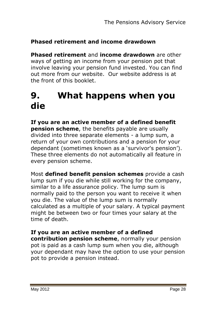#### **Phased retirement and income drawdown**

**Phased retirement** and **income drawdown** are other ways of getting an income from your pension pot that involve leaving your pension fund invested. You can find out more from our website. Our website address is at the front of this booklet.

## **9. What happens when you die**

**If you are an active member of a defined benefit pension scheme**, the benefits payable are usually divided into three separate elements - a lump sum, a return of your own contributions and a pension for your dependant (sometimes known as a "survivor's pension"). These three elements do not automatically all feature in every pension scheme.

Most **defined benefit pension schemes** provide a cash lump sum if you die while still working for the company, similar to a life assurance policy. The lump sum is normally paid to the person you want to receive it when you die. The value of the lump sum is normally calculated as a multiple of your salary. A typical payment might be between two or four times your salary at the time of death.

#### **If you are an active member of a defined**

**contribution pension scheme**, normally your pension pot is paid as a cash lump sum when you die, although your dependant may have the option to use your pension pot to provide a pension instead.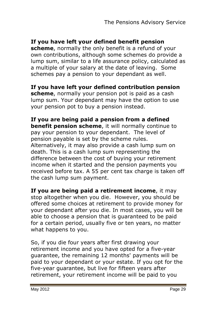#### **If you have left your defined benefit pension**

**scheme**, normally the only benefit is a refund of your own contributions, although some schemes do provide a lump sum, similar to a life assurance policy, calculated as a multiple of your salary at the date of leaving. Some schemes pay a pension to your dependant as well.

**If you have left your defined contribution pension scheme**, normally your pension pot is paid as a cash lump sum. Your dependant may have the option to use your pension pot to buy a pension instead.

**If you are being paid a pension from a defined benefit pension scheme**, it will normally continue to pay your pension to your dependant. The level of pension payable is set by the scheme rules. Alternatively, it may also provide a cash lump sum on death. This is a cash lump sum representing the difference between the cost of buying your retirement income when it started and the pension payments you received before tax. A 55 per cent tax charge is taken off the cash lump sum payment.

**If you are being paid a retirement income**, it may stop altogether when you die. However, you should be offered some choices at retirement to provide money for your dependant after you die. In most cases, you will be able to choose a pension that is guaranteed to be paid for a certain period, usually five or ten years, no matter what happens to you.

So, if you die four years after first drawing your retirement income and you have opted for a five-year guarantee, the remaining 12 months' payments will be paid to your dependant or your estate. If you opt for the five-year guarantee, but live for fifteen years after retirement, your retirement income will be paid to you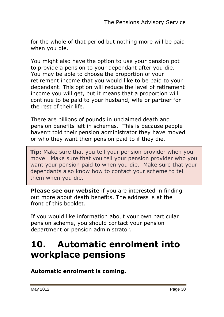for the whole of that period but nothing more will be paid when you die.

You might also have the option to use your pension pot to provide a pension to your dependant after you die. You may be able to choose the proportion of your retirement income that you would like to be paid to your dependant. This option will reduce the level of retirement income you will get, but it means that a proportion will continue to be paid to your husband, wife or partner for the rest of their life.

There are billions of pounds in unclaimed death and pension benefits left in schemes. This is because people haven"t told their pension administrator they have moved or who they want their pension paid to if they die.

**Tip:** Make sure that you tell your pension provider when you move. Make sure that you tell your pension provider who you want your pension paid to when you die. Make sure that your dependants also know how to contact your scheme to tell them when you die.

**Please see our website** if you are interested in finding out more about death benefits. The address is at the front of this booklet.

If you would like information about your own particular pension scheme, you should contact your pension department or pension administrator.

## **10. Automatic enrolment into workplace pensions**

**Automatic enrolment is coming.**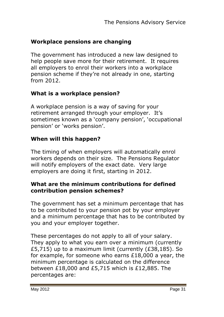#### **Workplace pensions are changing**

The government has introduced a new law designed to help people save more for their retirement. It requires all employers to enrol their workers into a workplace pension scheme if they"re not already in one, starting from 2012.

#### **What is a workplace pension?**

A workplace pension is a way of saving for your retirement arranged through your employer. It's sometimes known as a 'company pension', 'occupational pension' or 'works pension'.

#### **When will this happen?**

The timing of when employers will automatically enrol workers depends on their size. The Pensions Regulator will notify employers of the exact date. Very large employers are doing it first, starting in 2012.

#### **What are the minimum contributions for defined contribution pension schemes?**

The government has set a minimum percentage that has to be contributed to your pension pot by your employer and a minimum percentage that has to be contributed by you and your employer together.

These percentages do not apply to all of your salary. They apply to what you earn over a minimum (currently £5,715) up to a maximum limit (currently (£38,185). So for example, for someone who earns £18,000 a year, the minimum percentage is calculated on the difference between £18,000 and £5,715 which is £12,885. The percentages are: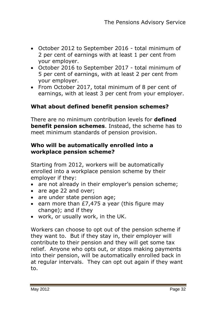- October 2012 to September 2016 total minimum of 2 per cent of earnings with at least 1 per cent from your employer.
- October 2016 to September 2017 total minimum of 5 per cent of earnings, with at least 2 per cent from your employer.
- From October 2017, total minimum of 8 per cent of earnings, with at least 3 per cent from your employer.

#### **What about defined benefit pension schemes?**

There are no minimum contribution levels for **defined benefit pension schemes**. Instead, the scheme has to meet minimum standards of pension provision.

#### **Who will be automatically enrolled into a workplace pension scheme?**

Starting from 2012, workers will be automatically enrolled into a workplace pension scheme by their employer if they:

- are not already in their employer's pension scheme;
- are age 22 and over:
- are under state pension age:
- e earn more than  $E7,475$  a year (this figure may change); and if they
- work, or usually work, in the UK.

Workers can choose to opt out of the pension scheme if they want to. But if they stay in, their employer will contribute to their pension and they will get some tax relief. Anyone who opts out, or stops making payments into their pension, will be automatically enrolled back in at regular intervals. They can opt out again if they want to.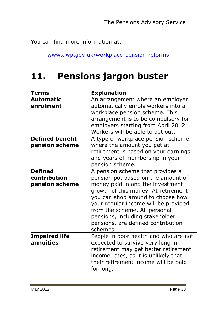You can find more information at:

[www.dwp.gov.uk/workplace-pension-reforms](http://www.dwp.gov.uk/workplace-pension-reforms)

## **11. Pensions jargon buster**

| Terms                                     | <b>Explanation</b>                                                                                                                                                                                                                                                                                                                                   |
|-------------------------------------------|------------------------------------------------------------------------------------------------------------------------------------------------------------------------------------------------------------------------------------------------------------------------------------------------------------------------------------------------------|
| Automatic<br>enrolment                    | An arrangement where an employer<br>automatically enrols workers into a<br>workplace pension scheme. This<br>arrangement is to be compulsory for<br>employers starting from April 2012.<br>Workers will be able to opt out.                                                                                                                          |
| <b>Defined benefit</b><br>pension scheme  | A type of workplace pension scheme<br>where the amount you get at<br>retirement is based on your earnings<br>and years of membership in your<br>pension scheme.                                                                                                                                                                                      |
| Defined<br>contribution<br>pension scheme | A pension scheme that provides a<br>pension pot based on the amount of<br>money paid in and the investment<br>growth of this money. At retirement<br>you can shop around to choose how<br>your regular income will be provided<br>from the scheme. All personal<br>pensions, including stakeholder<br>pensions, are defined contribution<br>schemes. |
| <b>Impaired life</b><br>lannuities        | People in poor health and who are not<br>expected to survive very long in<br>retirement may get better retirement<br>income rates, as it is unlikely that<br>their retirement income will be paid<br>for long.                                                                                                                                       |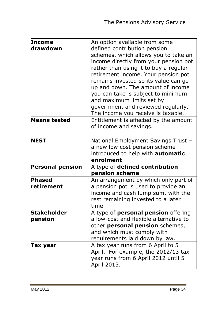| Income                  | An option available from some                      |
|-------------------------|----------------------------------------------------|
| drawdown                | defined contribution pension                       |
|                         | schemes, which allows you to take an               |
|                         | income directly from your pension pot              |
|                         | rather than using it to buy a regular              |
|                         | retirement income. Your pension pot                |
|                         | remains invested so its value can go               |
|                         | up and down. The amount of income                  |
|                         | you can take is subject to minimum                 |
|                         | and maximum limits set by                          |
|                         | government and reviewed regularly.                 |
|                         | The income you receive is taxable.                 |
| <b>Means tested</b>     | Entitlement is affected by the amount              |
|                         | of income and savings.                             |
|                         |                                                    |
| <b>NEST</b>             | National Employment Savings Trust -                |
|                         | a new low cost pension scheme                      |
|                         | introduced to help with automatic                  |
|                         | enrolment                                          |
|                         |                                                    |
| <b>Personal pension</b> | A type of defined contribution                     |
|                         | pension scheme.                                    |
| Phased                  | An arrangement by which only part of               |
| retirement              | a pension pot is used to provide an                |
|                         | income and cash lump sum, with the                 |
|                         | rest remaining invested to a later                 |
|                         | time.                                              |
| <b>Stakeholder</b>      | A type of <b>personal pension</b> offering         |
| pension                 | a low-cost and flexible alternative to             |
|                         | other personal pension schemes,                    |
|                         | and which must comply with                         |
|                         | requirements laid down by law.                     |
| Tax year                | A tax year runs from 6 April to 5                  |
|                         | April. For example, the 2012/13 tax                |
|                         | year runs from 6 April 2012 until 5<br>April 2013. |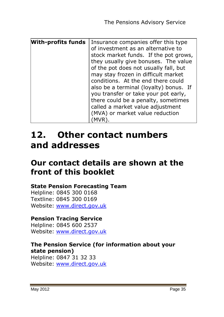| <b>With-profits funds</b> | Insurance companies offer this type<br>of investment as an alternative to |
|---------------------------|---------------------------------------------------------------------------|
|                           | stock market funds. If the pot grows,                                     |
|                           | they usually give bonuses. The value                                      |
|                           | of the pot does not usually fall, but                                     |
|                           | may stay frozen in difficult market                                       |
|                           | conditions. At the end there could                                        |
|                           | also be a terminal (loyalty) bonus. If                                    |
|                           | you transfer or take your pot early,                                      |
|                           | there could be a penalty, sometimes                                       |
|                           | called a market value adjustment                                          |
|                           | (MVA) or market value reduction                                           |
|                           |                                                                           |

## **12. Other contact numbers and addresses**

## **Our contact details are shown at the front of this booklet**

#### **State Pension Forecasting Team**

Helpline: 0845 300 0168 Textline: 0845 300 0169 Website: [www.direct.gov.uk](http://www.direct.gov.uk/)

#### **Pension Tracing Service**

Helpline: 0845 600 2537 Website: [www.direct.gov.uk](http://www.direct.gov.uk/)

#### **The Pension Service (for information about your state pension)** Helpline: 0847 31 32 33

Website: [www.direct.gov.uk](http://www.direct.gov.uk/)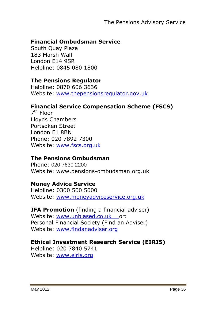#### **Financial Ombudsman Service**

South Quay Plaza 183 Marsh Wall London E14 9SR Helpline: 0845 080 1800

#### **The Pensions Regulator**

Helpline: 0870 606 3636 Website: [www.thepensionsregulator.gov.uk](http://www.thepensionsregulator.gov.uk/)

#### **Financial Service Compensation Scheme (FSCS)**

7<sup>th</sup> Floor Lloyds Chambers Portsoken Street London E1 8BN Phone: 020 7892 7300 Website: [www.fscs.org.uk](http://www.fscs.org.uk/)

#### **The Pensions Ombudsman**

Phone: 020 7630 2200 Website: www.pensions-ombudsman.org.uk

#### **Money Advice Service**

Helpline: 0300 500 5000 Website: [www.moneyadviceservice.org.uk](http://www.moneyadviceservice.org.uk/)

**IFA Promotion** (finding a financial adviser) Website: [www.unbiased.co.uk](http://www.unbiased.co.uk/) or: Personal Financial Society (Find an Adviser) Website: [www.findanadviser.org](http://www.findanadviser.org/)

#### **Ethical Investment Research Service (EIRIS)**

Helpline: 020 7840 5741 Website: [www.eiris.org](http://www.eiris.org/)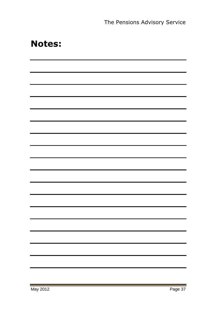## **Notes:**